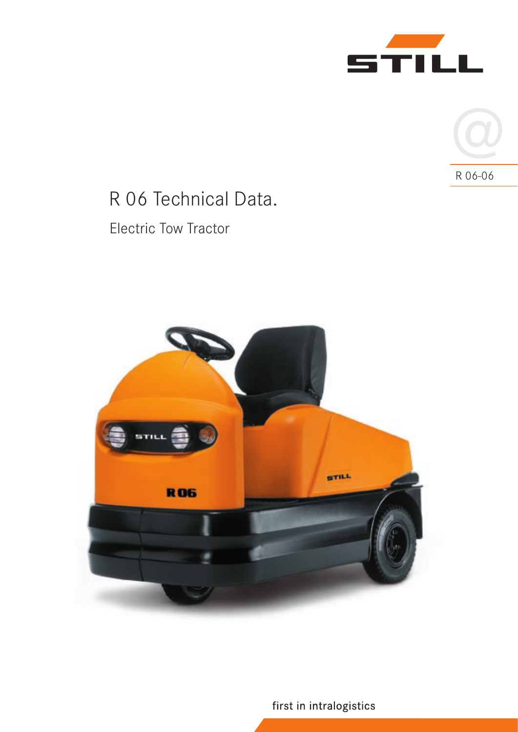



# R 06 Technical Data.

## Electric Tow Tractor



first in intralogistics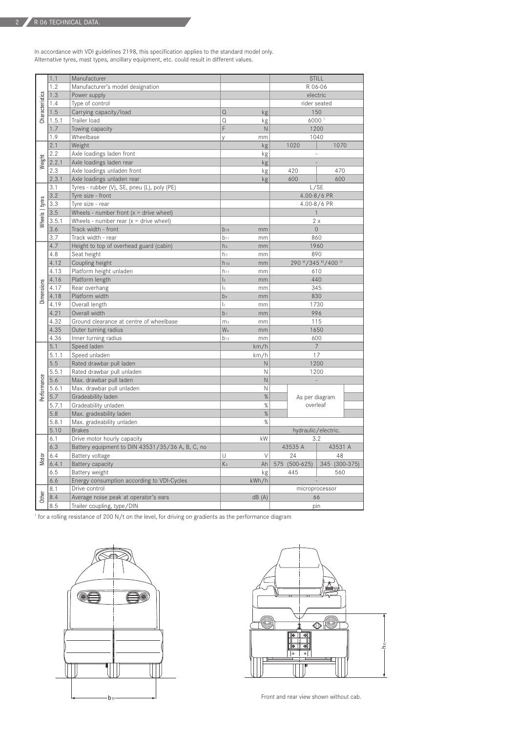In accordance with VDI guidelines 2198, this specification applies to the standard model only. Alternative tyres, mast types, ancillary equipment, etc. could result in different values.

| Characteristics | 1.1   | Manufacturer                                     |                      |              | <b>STILL</b>             |                            |               |  |
|-----------------|-------|--------------------------------------------------|----------------------|--------------|--------------------------|----------------------------|---------------|--|
|                 | 1.2   | Manufacturer's model designation                 |                      |              | R 06-06                  |                            |               |  |
|                 | 1.3   | Power supply                                     |                      |              | electric                 |                            |               |  |
|                 | 1.4   | Type of control                                  |                      |              | rider seated             |                            |               |  |
|                 | 1.5   | Carrying capacity/load                           | $\Omega$             | kg           | 150                      |                            |               |  |
|                 | 1.5.1 | Trailer load                                     | Q                    | kg           | 6000                     |                            |               |  |
|                 | 1.7   | Towing capacity                                  | F                    | N            | 1200                     |                            |               |  |
| Weight          | 1.9   | Wheelbase                                        | y                    | mm           | 1040                     |                            |               |  |
|                 | 2.1   | Weight                                           |                      | kg           | 1020<br>1070             |                            |               |  |
|                 | 2.2   | Axle loadings laden front                        |                      | kg           |                          |                            |               |  |
|                 | 2.2.1 | Axle loadings laden rear                         |                      | kg           |                          |                            |               |  |
|                 | 2.3   | Axle loadings unladen front                      |                      | kg           |                          | 420                        | 470           |  |
|                 | 2.3.1 | Axle loadings unladen rear                       |                      | kg           |                          | 600                        | 600           |  |
| Wheels   tyres  | 3.1   | Tyres - rubber (V), SE, pneu (L), poly (PE)      |                      |              | L/SE                     |                            |               |  |
|                 | 3.2   | Tyre size - front                                |                      |              | 4.00-8/6 PR              |                            |               |  |
|                 | 3.3   | Tyre size - rear                                 |                      |              | 4.00-8/6 PR              |                            |               |  |
|                 | 3.5   | Wheels - number front $(x =$ drive wheel)        |                      |              | $\mathbf{1}$             |                            |               |  |
|                 | 3.5.1 | Wheels - number rear $(x =$ drive wheel)         |                      |              | 2x                       |                            |               |  |
|                 | 3.6   | Track width - front                              | $b_{10}$             | mm           | $\overline{0}$           |                            |               |  |
| Dimensions      | 3.7   | Track width - rear                               | $b_{11}$             | mm           | 860                      |                            |               |  |
|                 | 4.7   | Height to top of overhead guard (cabin)          | h <sub>6</sub>       | mm           | 1960                     |                            |               |  |
|                 | 4.8   | Seat height                                      | h <sub>7</sub>       | mm           | 890                      |                            |               |  |
|                 | 4.12  | Coupling height                                  | $h_{10}$             | mm           | 290 a) / 345 b) / 400 c) |                            |               |  |
|                 | 4.13  | Platform height unladen                          | $h_{11}$             | mm           | 610                      |                            |               |  |
|                 | 4.16  | Platform length                                  | $\mathsf{I}_3$       | mm           | 440                      |                            |               |  |
|                 | 4.17  | Rear overhang                                    | $\vert$ <sub>5</sub> | mm           | 345                      |                            |               |  |
|                 | 4.18  | Platform width                                   | b <sub>9</sub>       | mm           | 830                      |                            |               |  |
|                 | 4.19  | Overall length                                   | h                    | mm           | 1730                     |                            |               |  |
|                 | 4.21  | Overall width                                    | b <sub>1</sub>       | mm           | 996                      |                            |               |  |
|                 | 4.32  | Ground clearance at centre of wheelbase          | m <sub>2</sub>       | mm           | 115                      |                            |               |  |
|                 | 4.35  | Outer turning radius                             | Wa                   | mm           | 1650                     |                            |               |  |
|                 | 4.36  | Inner turning radius                             | $b_{13}$             | mm           | 600                      |                            |               |  |
| Performance     | 5.1   | Speed laden                                      |                      | km/h         | $\overline{7}$           |                            |               |  |
|                 | 5.1.1 | Speed unladen                                    |                      | km/h         | 17                       |                            |               |  |
|                 | 5.5   | Rated drawbar pull laden                         |                      | $\mathsf{N}$ | 1200                     |                            |               |  |
|                 | 5.5.1 | Rated drawbar pull unladen                       |                      | N            | 1200                     |                            |               |  |
|                 | 5.6   | Max. drawbar pull laden                          |                      | $\mathsf{N}$ | L                        |                            |               |  |
|                 | 5.6.1 | Max. drawbar pull unladen                        |                      | N            |                          |                            |               |  |
|                 | 5.7   | Gradeability laden                               |                      | %            |                          | As per diagram<br>overleaf |               |  |
|                 | 5.7.1 | Gradeability unladen                             |                      | %            |                          |                            |               |  |
|                 | 5.8   | Max. gradeability laden                          |                      | $\%$         |                          |                            |               |  |
|                 | 5.8.1 | Max. gradeability unladen                        |                      | $\%$         |                          |                            |               |  |
|                 | 5.10  | <b>Brakes</b>                                    |                      |              | hydraulic/electric.      |                            |               |  |
| Motor           | 6.1   | Drive motor hourly capacity                      |                      | kW           | 3.2                      |                            |               |  |
|                 | 6.3   | Battery equipment to DIN 43531/35/36 A, B, C, no |                      |              |                          | 43535 A                    | 43531 A       |  |
|                 | 6.4   | Battery voltage                                  | U                    | $\vee$       |                          | 24                         | 48            |  |
|                 | 6.4.1 | Battery capacity                                 | K <sub>5</sub>       | Ah           |                          | 575 (500-625)              | 345 (300-375) |  |
|                 | 6.5   | Battery weight                                   |                      | kg           |                          | 445                        | 560           |  |
|                 | 6.6   | Energy consumption according to VDI-Cycles       |                      | kWh/h        | ÷,                       |                            |               |  |
| Other           | 8.1   | Drive control                                    |                      |              | microprocessor           |                            |               |  |
|                 | 8.4   | Average noise peak at operator's ears            |                      | dB(A)        | 66                       |                            |               |  |
|                 | 8.5   | Trailer coupling, type/DIN                       |                      |              | pin                      |                            |               |  |

<sup>1</sup> for a rolling resistance of 200 N/t on the level, for driving on gradients as the performance diagram





Front and rear view shown without cab.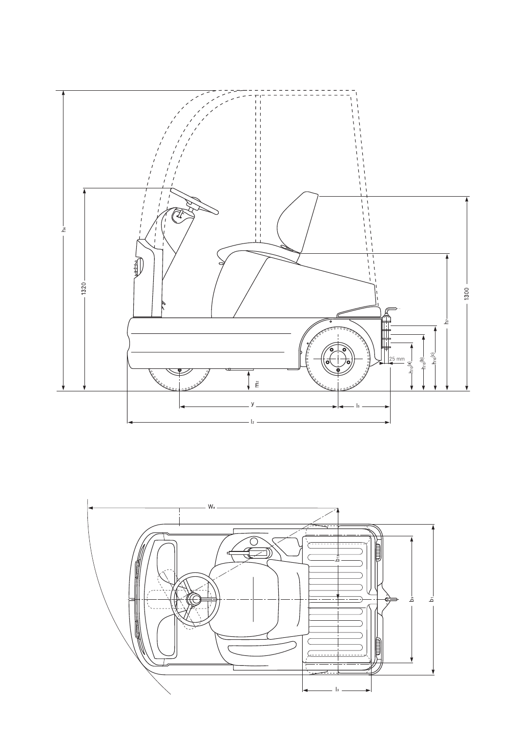

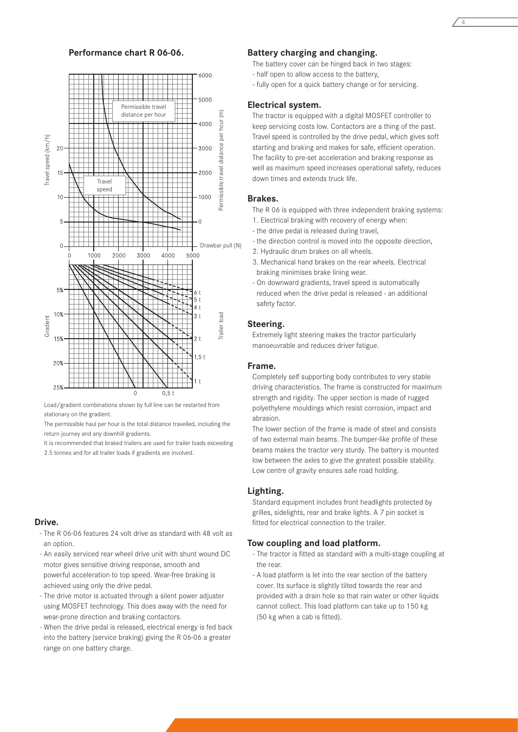

Load/gradient combinations shown by full line can be restarted from stationary on the gradient.

The permissible haul per hour is the total distance travelled, including the return journey and any downhill gradients.

It is recommended that braked trailers are used for trailer loads exceeding

#### **Drive.**

- The R 06-06 features 24 volt drive as standard with 48 volt as an option.
- An easily serviced rear wheel drive unit with shunt wound DC motor gives sensitive driving response, smooth and powerful acceleration to top speed. Wear-free braking is achieved using only the drive pedal.
- The drive motor is actuated through a silent power adjuster using MOSFET technology. This does away with the need for wear-prone direction and braking contactors.
- When the drive pedal is released, electrical energy is fed back into the battery (service braking) giving the R 06-06 a greater range on one battery charge.

#### **Performance chart R 06-06. Battery charging and changing.**

The battery cover can be hinged back in two stages:

- half open to allow access to the battery,
- fully open for a quick battery change or for servicing.

#### **Electrical system.**

The tractor is equipped with a digital MOSFET controller to keep servicing costs low. Contactors are a thing of the past. Travel speed is controlled by the drive pedal, which gives soft starting and braking and makes for safe, efficient operation. The facility to pre-set acceleration and braking response as well as maximum speed increases operational safety, reduces down times and extends truck life.

#### **Brakes.**

- The R 06 is equipped with three independent braking systems:
- 1. Electrical braking with recovery of energy when:
- the drive pedal is released during travel,
- the direction control is moved into the opposite direction,
- 2. Hydraulic drum brakes on all wheels.
- 3. Mechanical hand brakes on the rear wheels. Electrical braking minimises brake lining wear.
- On downward gradients, travel speed is automatically reduced when the drive pedal is released - an additional safety factor.

#### **Steering.**

Extremely light steering makes the tractor particularly manoeuvrable and reduces driver fatigue.

#### **Frame.**

Completely self supporting body contributes to very stable driving characteristics. The frame is constructed for maximum strength and rigidity. The upper section is made of rugged polyethylene mouldings which resist corrosion, impact and abrasion.

The lower section of the frame is made of steel and consists of two external main beams. The bumper-like profile of these beams makes the tractor very sturdy. The battery is mounted low between the axles to give the greatest possible stability. Low centre of gravity ensures safe road holding.

#### **Lighting.**

Standard equipment includes front headlights protected by grilles, sidelights, rear and brake lights. A 7 pin socket is fitted for electrical connection to the trailer.

#### **Tow coupling and load platform.**

- The tractor is fitted as standard with a multi-stage coupling at the rear.
- A load platform is let into the rear section of the battery cover. Its surface is slightly tilted towards the rear and provided with a drain hole so that rain water or other liquids cannot collect. This load platform can take up to 150 kg (50 kg when a cab is fitted).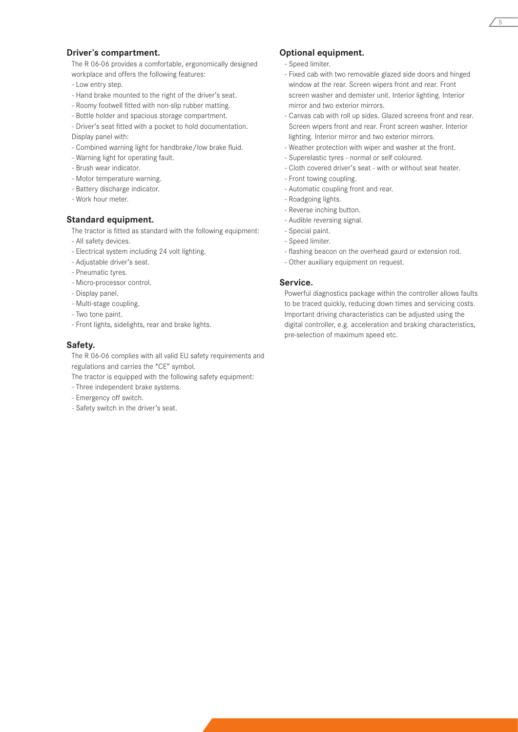#### **Driver's compartment.**

The R 06-06 provides a comfortable, ergonomically designed workplace and offers the following features:

- Low entry step.
- Hand brake mounted to the right of the driver's seat.
- Roomy footwell fitted with non-slip rubber matting.
- Bottle holder and spacious storage compartment.
- Driver's seat fitted with a pocket to hold documentation. Display panel with:
- Combined warning light for handbrake/low brake fluid.
- Warning light for operating fault.
- Brush wear indicator.
- Motor temperature warning.
- Battery discharge indicator.
- Work hour meter.

#### **Standard equipment.**

The tractor is fitted as standard with the following equipment:

- All safety devices.
- Electrical system including 24 volt lighting.
- Adjustable driver's seat.
- Pneumatic tyres.
- Micro-processor control.
- Display panel.
- Multi-stage coupling.
- Two tone paint.
- Front lights, sidelights, rear and brake lights.

#### **Safety.**

The R 06-06 complies with all valid EU safety requirements and regulations and carries the "CE" symbol.

The tractor is equipped with the following safety equipment:

- Three independent brake systems.
- Emergency off switch.
- Safety switch in the driver's seat.

#### **Optional equipment.**

- Speed limiter.
- Fixed cab with two removable glazed side doors and hinged window at the rear. Screen wipers front and rear. Front screen washer and demister unit. Interior lighting. Interior mirror and two exterior mirrors.

5

- Canvas cab with roll up sides. Glazed screens front and rear. Screen wipers front and rear. Front screen washer. Interior lighting. Interior mirror and two exterior mirrors.
- Weather protection with wiper and washer at the front.
- Superelastic tyres normal or self coloured.
- Cloth covered driver's seat with or without seat heater.
- Front towing coupling.
- Automatic coupling front and rear.
- Roadgoing lights.
- Reverse inching button.
- Audible reversing signal.
- Special paint.
- Speed limiter.
- flashing beacon on the overhead gaurd or extension rod.
- Other auxiliary equipment on request.

#### **Service.**

Powerful diagnostics package within the controller allows faults to be traced quickly, reducing down times and servicing costs. Important driving characteristics can be adjusted using the digital controller, e.g. acceleration and braking characteristics, pre-selection of maximum speed etc.